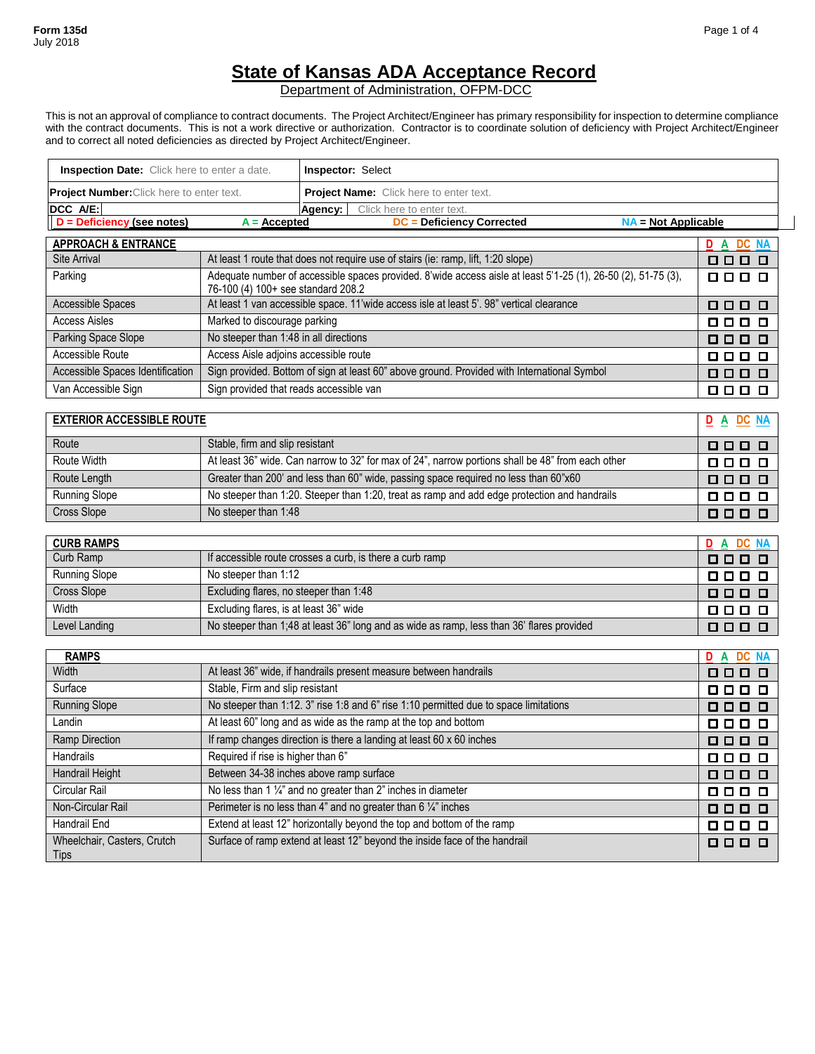## **State of Kansas ADA Acceptance Record**

Department of Administration, OFPM-DCC

This is not an approval of compliance to contract documents. The Project Architect/Engineer has primary responsibility for inspection to determine compliance with the contract documents. This is not a work directive or authorization. Contractor is to coordinate solution of deficiency with Project Architect/Engineer and to correct all noted deficiencies as directed by Project Architect/Engineer.

| <b>Inspection Date:</b> Click here to enter a date. |                                                                                                    | Inspector: Select |                                                                                                               |                     |
|-----------------------------------------------------|----------------------------------------------------------------------------------------------------|-------------------|---------------------------------------------------------------------------------------------------------------|---------------------|
| Project Number: Click here to enter text.           |                                                                                                    |                   | Project Name: Click here to enter text.                                                                       |                     |
| DCC A/E:                                            |                                                                                                    | Agency:           | Click here to enter text.                                                                                     |                     |
| <b>D</b> = Deficiency (see notes)                   | $A =$ Accepted                                                                                     |                   | <b>DC</b> = Deficiency Corrected<br><b>NA = Not Applicable</b>                                                |                     |
| <b>APPROACH &amp; ENTRANCE</b>                      |                                                                                                    |                   |                                                                                                               | D A DC NA           |
| <b>Site Arrival</b>                                 |                                                                                                    |                   | At least 1 route that does not require use of stairs (ie: ramp, lift, 1:20 slope)                             | 000 O               |
| Parking                                             | 76-100 (4) 100+ see standard 208.2                                                                 |                   | Adequate number of accessible spaces provided. 8'wide access aisle at least 5'1-25 (1), 26-50 (2), 51-75 (3), | 000 O               |
| <b>Accessible Spaces</b>                            |                                                                                                    |                   | At least 1 van accessible space. 11'wide access isle at least 5'. 98" vertical clearance                      | 000 O               |
| <b>Access Aisles</b>                                | Marked to discourage parking                                                                       |                   |                                                                                                               | 000 O               |
| Parking Space Slope                                 | No steeper than 1:48 in all directions                                                             |                   |                                                                                                               | <b>0000</b>         |
| Accessible Route                                    | Access Aisle adjoins accessible route                                                              |                   |                                                                                                               | 000 O               |
| Accessible Spaces Identification                    |                                                                                                    |                   | Sign provided. Bottom of sign at least 60" above ground. Provided with International Symbol                   | 000 O               |
| Van Accessible Sign                                 | Sign provided that reads accessible van                                                            |                   |                                                                                                               | 000 O               |
|                                                     |                                                                                                    |                   |                                                                                                               |                     |
| <b>EXTERIOR ACCESSIBLE ROUTE</b>                    |                                                                                                    |                   |                                                                                                               | D A DC NA           |
| Route                                               | Stable, firm and slip resistant                                                                    |                   |                                                                                                               | 000 O               |
| Route Width                                         |                                                                                                    |                   | At least 36" wide. Can narrow to 32" for max of 24", narrow portions shall be 48" from each other             | 0000                |
| Route Length                                        |                                                                                                    |                   | Greater than 200' and less than 60" wide, passing space required no less than 60"x60                          | 0000                |
| Running Slope                                       |                                                                                                    |                   | No steeper than 1:20. Steeper than 1:20, treat as ramp and add edge protection and handrails                  | 000 O               |
| Cross Slope                                         | No steeper than 1:48                                                                               |                   |                                                                                                               | 0000                |
|                                                     |                                                                                                    |                   |                                                                                                               |                     |
| <b>CURB RAMPS</b>                                   |                                                                                                    |                   |                                                                                                               | $D$ $A$<br>DC NA    |
| Curb Ramp                                           | No steeper than 1:12                                                                               |                   | If accessible route crosses a curb, is there a curb ramp                                                      | 0000                |
| Running Slope                                       |                                                                                                    |                   |                                                                                                               | 000 D               |
| Cross Slope                                         | Excluding flares, no steeper than 1:48                                                             |                   |                                                                                                               | 000 O               |
| Width                                               | Excluding flares, is at least 36" wide                                                             |                   |                                                                                                               | 000 O               |
| Level Landing                                       | No steeper than 1;48 at least 36" long and as wide as ramp, less than 36' flares provided<br>000 O |                   |                                                                                                               |                     |
| <b>RAMPS</b>                                        |                                                                                                    |                   |                                                                                                               | D A<br><b>DC NA</b> |
| Width                                               |                                                                                                    |                   | At least 36" wide, if handrails present measure between handrails                                             | 0000                |
| Surface                                             | Stable, Firm and slip resistant                                                                    |                   |                                                                                                               | 000 O               |
| <b>Running Slope</b>                                |                                                                                                    |                   | No steeper than 1:12. 3" rise 1:8 and 6" rise 1:10 permitted due to space limitations                         | 000 O               |
| Landin                                              |                                                                                                    |                   | At least 60" long and as wide as the ramp at the top and bottom                                               | 000 O               |
| <b>Ramp Direction</b>                               |                                                                                                    |                   | If ramp changes direction is there a landing at least 60 x 60 inches                                          | 000 O               |
| Handrails                                           | Required if rise is higher than 6"                                                                 |                   |                                                                                                               | 000 O               |
| Handrail Height                                     | Between 34-38 inches above ramp surface                                                            |                   |                                                                                                               | 000 O               |
| Circular Rail                                       |                                                                                                    |                   | No less than 1 $\frac{1}{4}$ " and no greater than 2" inches in diameter                                      | 000 O               |
| Non-Circular Rail                                   |                                                                                                    |                   | Perimeter is no less than 4" and no greater than 6 $\frac{1}{4}$ " inches                                     | 000 O               |
| Handrail End                                        |                                                                                                    |                   | Extend at least 12" horizontally beyond the top and bottom of the ramp                                        | 000 O               |
| Wheelchair, Casters, Crutch                         |                                                                                                    |                   | Surface of ramp extend at least 12" beyond the inside face of the handrail                                    | 0000                |
| Tips                                                |                                                                                                    |                   |                                                                                                               |                     |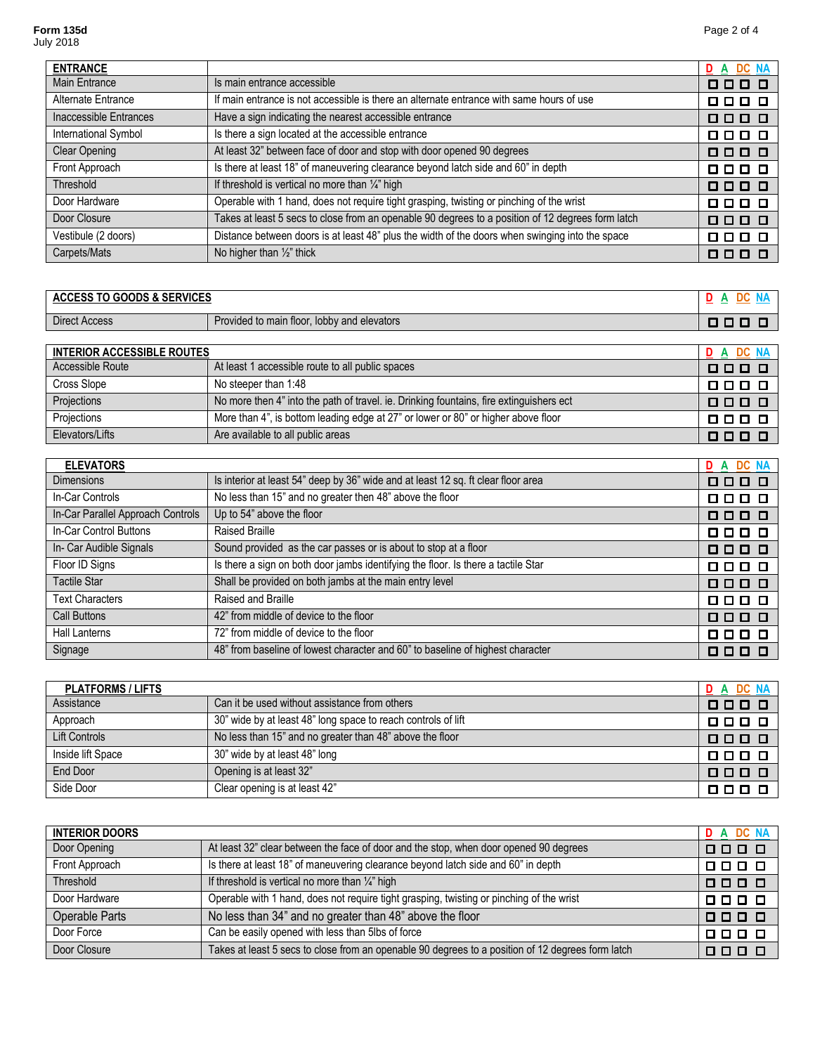| <b>ENTRANCE</b>        |                                                                                                   | D A DC NA |
|------------------------|---------------------------------------------------------------------------------------------------|-----------|
| <b>Main Entrance</b>   | Is main entrance accessible                                                                       | 000 O     |
| Alternate Entrance     | If main entrance is not accessible is there an alternate entrance with same hours of use          | 000 O     |
| Inaccessible Entrances | Have a sign indicating the nearest accessible entrance                                            | 000 O     |
| International Symbol   | Is there a sign located at the accessible entrance                                                | 8888      |
| <b>Clear Opening</b>   | At least 32" between face of door and stop with door opened 90 degrees                            | 000 Q     |
| Front Approach         | Is there at least 18" of maneuvering clearance beyond latch side and 60" in depth                 | 8888      |
| Threshold              | If threshold is vertical no more than $\frac{1}{4}$ " high                                        | 000 Q     |
| Door Hardware          | Operable with 1 hand, does not require tight grasping, twisting or pinching of the wrist          | 000 O     |
| Door Closure           | Takes at least 5 secs to close from an openable 90 degrees to a position of 12 degrees form latch | 000 O     |
| Vestibule (2 doors)    | Distance between doors is at least 48" plus the width of the doors when swinging into the space   | 8888      |
| Carpets/Mats           | No higher than $\frac{1}{2}$ " thick                                                              | 000 O     |

| <b>ACCESS TO GOODS &amp; SERVICES</b> |                                                          | DA<br>- DC |
|---------------------------------------|----------------------------------------------------------|------------|
| Direct Access                         | Provided to main floor, lobby and elevators              | 000 N      |
|                                       |                                                          |            |
| <b>INTERIOR ACCESSIBLE ROUTES</b>     |                                                          | D.         |
| $\cdots$ $\cdots$                     | $\cdots$<br>$\cdots$<br>$\sim$<br><br>$\sim$ $\sim$<br>. |            |

| Accessible Route | At least 1 accessible route to all public spaces                                        | 0000  |
|------------------|-----------------------------------------------------------------------------------------|-------|
| Cross Slope      | No steeper than 1:48                                                                    | 000 O |
| Projections      | No more then 4" into the path of travel. ie. Drinking fountains, fire extinguishers ect | 0000  |
| Projections      | More than 4", is bottom leading edge at 27" or lower or 80" or higher above floor       | 0000  |
| Elevators/Lifts  | Are available to all public areas                                                       | 000 C |

| <b>ELEVATORS</b>                  |                                                                                   | D A DC NA |
|-----------------------------------|-----------------------------------------------------------------------------------|-----------|
| <b>Dimensions</b>                 | Is interior at least 54" deep by 36" wide and at least 12 sq. ft clear floor area | 000 O     |
| In-Car Controls                   | No less than 15" and no greater then 48" above the floor                          | 8888      |
| In-Car Parallel Approach Controls | Up to 54" above the floor                                                         | 000 O     |
| In-Car Control Buttons            | <b>Raised Braille</b>                                                             | 000 O     |
| In- Car Audible Signals           | Sound provided as the car passes or is about to stop at a floor                   | 000 O     |
| Floor ID Signs                    | Is there a sign on both door jambs identifying the floor. Is there a tactile Star | 8888      |
| <b>Tactile Star</b>               | Shall be provided on both jambs at the main entry level                           | 000 O     |
| <b>Text Characters</b>            | Raised and Braille                                                                | 000 Q     |
| Call Buttons                      | 42" from middle of device to the floor                                            | 000 O     |
| <b>Hall Lanterns</b>              | 72" from middle of device to the floor                                            | 8888      |
| Signage                           | 48" from baseline of lowest character and 60" to baseline of highest character    | 000       |

| <b>PLATFORMS / LIFTS</b> |                                                               | <u>D A DC NA</u> |
|--------------------------|---------------------------------------------------------------|------------------|
| Assistance               | Can it be used without assistance from others                 | 000 O            |
| Approach                 | 30" wide by at least 48" long space to reach controls of lift | 000 O            |
| Lift Controls            | No less than 15" and no greater than 48" above the floor      | <b>0000</b>      |
| Inside lift Space        | 30" wide by at least 48" long                                 | 000 Q            |
| End Door                 | Opening is at least 32"                                       | 000 O            |
| Side Door                | Clear opening is at least 42"                                 | 8888             |

| <b>INTERIOR DOORS</b> |                                                                                                   | D A DC NA             |
|-----------------------|---------------------------------------------------------------------------------------------------|-----------------------|
| Door Opening          | At least 32" clear between the face of door and the stop, when door opened 90 degrees             | $\Box \Box \Box \Box$ |
| Front Approach        | Is there at least 18" of maneuvering clearance beyond latch side and 60" in depth                 | <b>0000</b>           |
| Threshold             | If threshold is vertical no more than $\frac{1}{4}$ " high                                        | 0000                  |
| Door Hardware         | Operable with 1 hand, does not require tight grasping, twisting or pinching of the wrist          | 0000                  |
| Operable Parts        | No less than 34" and no greater than 48" above the floor                                          | $\Box \Box \Box \Box$ |
| Door Force            | Can be easily opened with less than 5lbs of force                                                 | <b>0000</b>           |
| Door Closure          | Takes at least 5 secs to close from an openable 90 degrees to a position of 12 degrees form latch | 0000                  |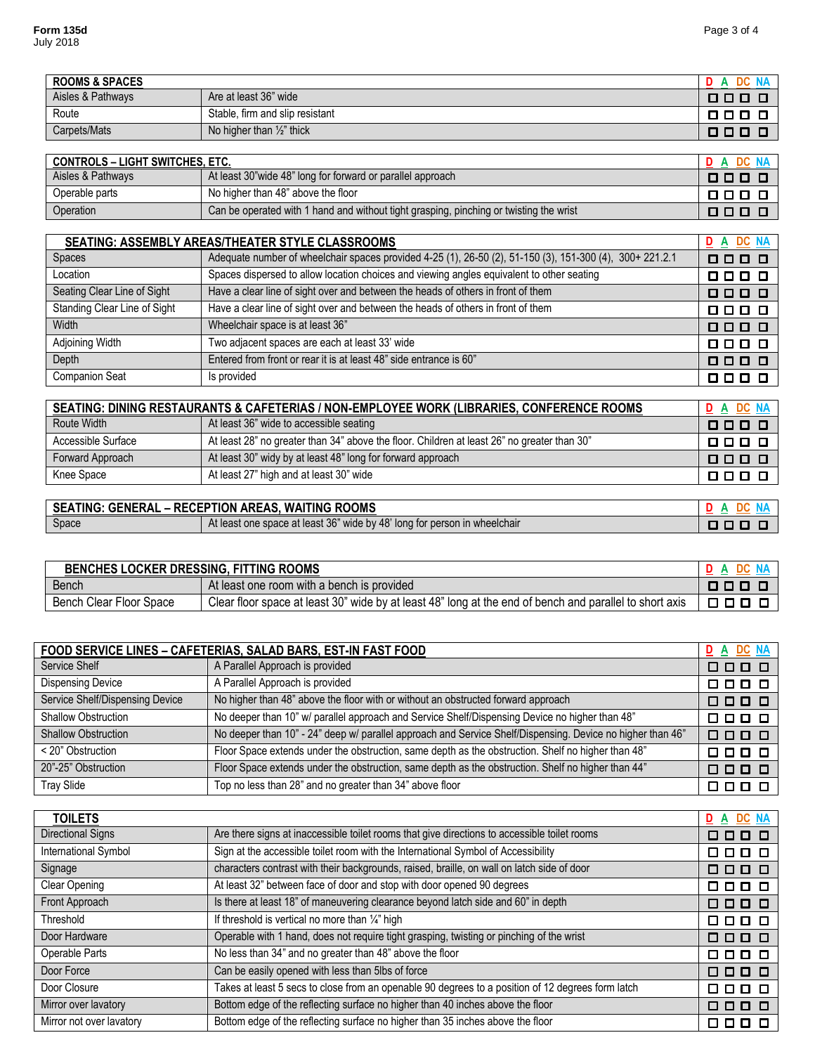| <b>ROOMS &amp; SPACES</b> |                                      | DC NA |
|---------------------------|--------------------------------------|-------|
| Aisles & Pathways         | Are at least 36" wide                | ----  |
| Route                     | Stable, firm and slip resistant      | ----  |
| Carpets/Mats              | No higher than $\frac{1}{2}$ " thick | 0000  |

| <b>CONTROLS – LIGHT SWITCHES, ETC.</b> |                                                                                        | D A DC NA |
|----------------------------------------|----------------------------------------------------------------------------------------|-----------|
| Aisles & Pathways                      | At least 30" wide 48" long for forward or parallel approach                            | 000 C     |
| Operable parts                         | No higher than 48" above the floor                                                     | ----      |
| Operation                              | Can be operated with 1 hand and without tight grasping, pinching or twisting the wrist | 000       |

|                              | SEATING: ASSEMBLY AREAS/THEATER STYLE CLASSROOMS                                                         |             |
|------------------------------|----------------------------------------------------------------------------------------------------------|-------------|
| <b>Spaces</b>                | Adequate number of wheelchair spaces provided 4-25 (1), 26-50 (2), 51-150 (3), 151-300 (4), 300+ 221.2.1 | 0000        |
| Location                     | Spaces dispersed to allow location choices and viewing angles equivalent to other seating                | 000 O       |
| Seating Clear Line of Sight  | Have a clear line of sight over and between the heads of others in front of them                         | <b>0000</b> |
| Standing Clear Line of Sight | Have a clear line of sight over and between the heads of others in front of them                         | 000 O       |
| Width                        | Wheelchair space is at least 36"                                                                         | 0000        |
| Adjoining Width              | Two adjacent spaces are each at least 33' wide                                                           | 000 O       |
| Depth                        | Entered from front or rear it is at least 48" side entrance is 60"                                       | <b>0000</b> |
| <b>Companion Seat</b>        | Is provided                                                                                              | 000 O       |

|                    | SEATING: DINING RESTAURANTS & CAFETERIAS / NON-EMPLOYEE WORK (LIBRARIES, CONFERENCE ROOMS   | D A DC NA |
|--------------------|---------------------------------------------------------------------------------------------|-----------|
| Route Width        | At least 36" wide to accessible seating                                                     | ----      |
| Accessible Surface | At least 28" no greater than 34" above the floor. Children at least 26" no greater than 30" | 000 O     |
| Forward Approach   | At least 30" widy by at least 48" long for forward approach                                 | 0000      |
| Knee Space         | At least 27" high and at least 30" wide                                                     | 8888      |

| <b>C: GENERAL</b><br><b>SEATING.</b> | <b>L - RECEPTION AREAS, WAITING ROOMS</b>                                 |  |
|--------------------------------------|---------------------------------------------------------------------------|--|
| Space                                | At least one space at least 36" wide by 48' long for person in wheelchair |  |

| BENCHES LOCKER DRESSING, FITTING ROOMS |                                                                                                         |     |
|----------------------------------------|---------------------------------------------------------------------------------------------------------|-----|
| Bench                                  | At least one room with a bench is provided                                                              | 000 |
| Bench Clear Floor Space                | Clear floor space at least 30" wide by at least 48" long at the end of bench and parallel to short axis |     |

| FOOD SERVICE LINES - CAFETERIAS, SALAD BARS, EST-IN FAST FOOD |                                                                                                            | D A DC NA             |
|---------------------------------------------------------------|------------------------------------------------------------------------------------------------------------|-----------------------|
| Service Shelf                                                 | A Parallel Approach is provided                                                                            | $\Box \Box \Box \Box$ |
| <b>Dispensing Device</b>                                      | A Parallel Approach is provided                                                                            | 0000                  |
| Service Shelf/Dispensing Device                               | No higher than 48" above the floor with or without an obstructed forward approach                          | 0000                  |
| <b>Shallow Obstruction</b>                                    | No deeper than 10" w/ parallel approach and Service Shelf/Dispensing Device no higher than 48"             | 0000                  |
| <b>Shallow Obstruction</b>                                    | No deeper than 10" - 24" deep w/ parallel approach and Service Shelf/Dispensing. Device no higher than 46" | $\Box \Box \Box \Box$ |
| < 20" Obstruction                                             | Floor Space extends under the obstruction, same depth as the obstruction. Shelf no higher than 48"         | 0000                  |
| 20"-25" Obstruction                                           | Floor Space extends under the obstruction, same depth as the obstruction. Shelf no higher than 44"         | $\Box \Box \Box \Box$ |
| <b>Tray Slide</b>                                             | Top no less than 28" and no greater than 34" above floor                                                   | 000 O                 |

| <b>TOILETS</b>           |                                                                                                   | D A DC NA    |
|--------------------------|---------------------------------------------------------------------------------------------------|--------------|
| Directional Signs        | Are there signs at inaccessible toilet rooms that give directions to accessible toilet rooms      | 000 O        |
| International Symbol     | Sign at the accessible toilet room with the International Symbol of Accessibility                 | 88 8 8<br>D  |
| Signage                  | characters contrast with their backgrounds, raised, braille, on wall on latch side of door        | 0 0 0 0      |
| Clear Opening            | At least 32" between face of door and stop with door opened 90 degrees                            | 0 0 0 0      |
| Front Approach           | Is there at least 18" of maneuvering clearance beyond latch side and 60" in depth                 | 000 Q        |
| Threshold                | If threshold is vertical no more than $\frac{1}{4}$ " high                                        | 000 O        |
| Door Hardware            | Operable with 1 hand, does not require tight grasping, twisting or pinching of the wrist          | 000 O        |
| Operable Parts           | No less than 34" and no greater than 48" above the floor                                          | 8 8 8 9<br>D |
| Door Force               | Can be easily opened with less than 5lbs of force                                                 | 000 O        |
| Door Closure             | Takes at least 5 secs to close from an openable 90 degrees to a position of 12 degrees form latch | 0 0 0 0      |
| Mirror over lavatory     | Bottom edge of the reflecting surface no higher than 40 inches above the floor                    | 000 O        |
| Mirror not over lavatory | Bottom edge of the reflecting surface no higher than 35 inches above the floor                    | 0 O          |